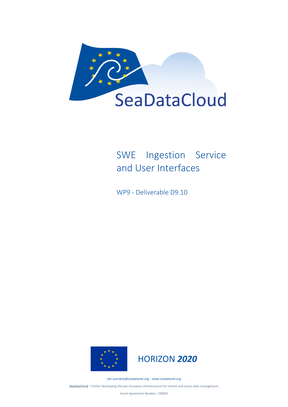

# SWE Ingestion Service and User Interfaces

WP9 - Deliverable D9.10





[sdn-userdesk@seadatanet.org](mailto:sdn-userdesk@seadatanet.org) – [www.seadatanet.org](http://www.seadatanet.org/)

SeaDataCloud - Further developing the pan-European infrastructure for marine and ocean data management

*Grant Agreement Number: 730960*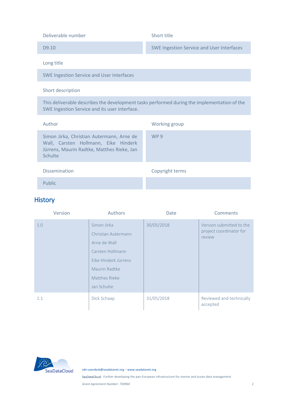| <b>SWE Ingestion Service and User Interfaces</b><br>D <sub>9.10</sub><br>Long title<br><b>SWE Ingestion Service and User Interfaces</b><br>Short description |
|--------------------------------------------------------------------------------------------------------------------------------------------------------------|
|                                                                                                                                                              |
|                                                                                                                                                              |
|                                                                                                                                                              |
|                                                                                                                                                              |
| This deliverable describes the development tasks performed during the implementation of the<br>SWE Ingestion Service and its user interface.                 |
| Author<br>Working group                                                                                                                                      |
| Simon Jirka, Christian Autermann, Arne de<br>WP 9<br>Wall, Carsten Hollmann, Eike Hinderk<br>Jürrens, Maurin Radtke, Matthes Rieke, Jan<br>Schulte           |
| <b>Dissemination</b><br>Copyright terms                                                                                                                      |
| Public                                                                                                                                                       |

#### History

| Version | Authors                                                                                                                                         | Date       | Comments                                                      |
|---------|-------------------------------------------------------------------------------------------------------------------------------------------------|------------|---------------------------------------------------------------|
| 1.0     | Simon Jirka<br>Christian Autermann<br>Arne de Wall<br>Carsten Hollmann<br>Eike Hinderk Jürrens<br>Maurin Radtke<br>Matthes Rieke<br>Jan Schulte | 30/05/2018 | Version submitted to the<br>project coordinator for<br>review |
| 1.1     | Dick Schaap                                                                                                                                     | 31/05/2018 | Reviewed and technically<br>accepted                          |



[sdn-userdesk@seadatanet.org](mailto:sdn-userdesk@seadatanet.org) – [www.seadatanet.org](http://www.seadatanet.org/)

SeaDataCloud - Further developing the pan-European infrastructure for marine and ocean data management

*Grant Agreement Number: 730960* 2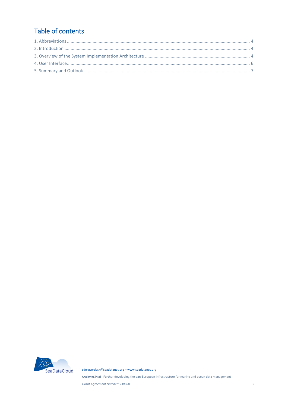## Table of contents



sdn-userdesk@seadatanet.org - www.seadatanet.org

SeaDataCloud - Further developing the pan-European infrastructure for marine and ocean data management

Grant Agreement Number: 730960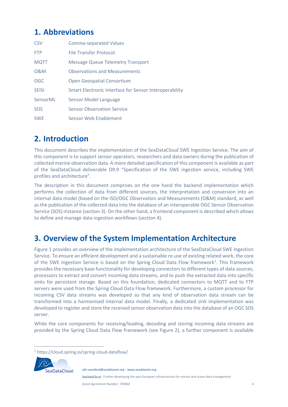# <span id="page-3-0"></span>**1. Abbreviations**

| <b>CSV</b>     | <b>Comma-separated Values</b>                          |
|----------------|--------------------------------------------------------|
| <b>FTP</b>     | <b>File Transfer Protocol</b>                          |
| <b>MQTT</b>    | <b>Message Queue Telemetry Transport</b>               |
| <b>O&amp;M</b> | <b>Observations and Measurements</b>                   |
| <b>OGC</b>     | <b>Open Geospatial Consortium</b>                      |
| <b>SFISI</b>   | Smart Electronic Interface for Sensor Interoperability |
| SensorML       | Sensor Model Language                                  |
| SOS            | <b>Sensor Observation Service</b>                      |
| <b>SWF</b>     | Sensor Web Enablement                                  |

# <span id="page-3-1"></span>**2. Introduction**

This document describes the implementation of the SeaDataCloud SWE Ingestion Service. The aim of this component is to support sensor operators, researchers and data owners during the publication of collected marine observation data. A more detailed specification of this component is available as part of the SeaDataCloud deliverable D9.9 "Specification of the SWE ingestion service, including SWE profiles and architecture".

The description in this document comprises on the one hand the backend implementation which performs the collection of data from different sources, the interpretation and conversion into an internal data model (based on the ISO/OGC Observation and Measurements (O&M) standard, as well as the publication of the collected data into the database of an interoperable OGC Sensor Observation Service (SOS) instance (section [3\)](#page-3-2). On the other hand, a frontend component is described which allows to define and manage data ingestion workflows (section [4\)](#page-5-0).

## <span id="page-3-2"></span>**3. Overview of the System Implementation Architecture**

[Figure 1](#page-4-0) provides an overview of the implementation architecture of the SeaDataCloud SWE Ingestion Service. To ensure an efficient development and a sustainable re-use of existing related work, the core of the SWE Ingestion Service is based on the Spring Cloud Data Flow framework<sup>1</sup>. This framework provides the necessary base functionality for developing connectors to different types of data sources, processors to extract and convert incoming data streams, and to push the extracted data into specific sinks for persistent storage. Based on this foundation, dedicated connectors to MQTT and to FTP servers were used from the Spring Cloud Data Flow framework. Furthermore, a custom processor for incoming CSV data streams was developed so that any kind of observation data stream can be transformed into a harmonised internal data model. Finally, a dedicated sink implementation was developed to register and store the received sensor observation data into the database of an OGC SOS server.

While the core components for receiving/loading, decoding and storing incoming data streams are provided by the Spring Cloud Data Flow framework (see [Figure 2\)](#page-4-1), a further component is available

<sup>1</sup> https://cloud.spring.io/spring-cloud-dataflow/



1

SeaDataCloud - Further developing the pan-European infrastructure for marine and ocean data management

[sdn-userdesk@seadatanet.org](mailto:sdn-userdesk@seadatanet.org) – [www.seadatanet.org](http://www.seadatanet.org/)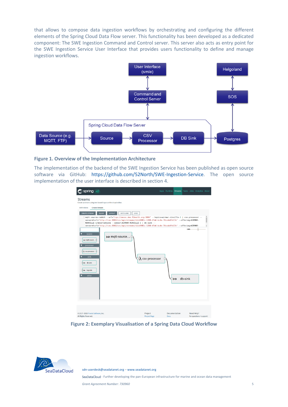that allows to compose data ingestion workflows by orchestrating and configuring the different elements of the Spring Cloud Data Flow server. This functionality has been developed as a dedicated component: The SWE Ingestion Command and Control server. This server also acts as entry point for the SWE Ingestion Service User Interface that provides users functionality to define and manage ingestion workflows.



#### <span id="page-4-0"></span>**Figure 1. Overview of the Implementation Architecture**

The implementation of the backend of the SWE Ingestion Service has been published as open source software via GitHub: [https://github.com/52North/SWE-Ingestion-Service.](https://github.com/52North/SWE-Ingestion-Service) The open source implementation of the user interface is described in sectio[n 4.](#page-5-0)

| $\bigcirc$ spring                                                                                                                                                                                                                                                                                         |                                                                                                                                                                                                                                                                                                                                                                                                                                                                            |      |                      |                 |            | Apps Runtime Streams Tasks Jobs Analytics About |  |
|-----------------------------------------------------------------------------------------------------------------------------------------------------------------------------------------------------------------------------------------------------------------------------------------------------------|----------------------------------------------------------------------------------------------------------------------------------------------------------------------------------------------------------------------------------------------------------------------------------------------------------------------------------------------------------------------------------------------------------------------------------------------------------------------------|------|----------------------|-----------------|------------|-------------------------------------------------|--|
| <b>Streams</b><br>Create a stream using text based input or the visual editor.<br><b>Definitions</b><br><b>Create Stream</b><br><b>CREATE STREAM</b><br><b>CLEAR</b><br>LAYOUT<br>source<br>➡ mqtt-source<br>processor<br>$\Box$ csv-processor<br>sink<br><b>¢⊫&gt;</b> db-sink<br>Q i⇒ log-sink<br>other | <b>AUTO LINK</b><br>GRID<br>1 mqtt-source-rabbit --url="tcp://nexos.dev.52north.org:1884" --topics=airmar-rinville-1   csv-processor --<br>sensormlurl="http://cnc:8082/cnc/api/streams/slcb9981c-1288-47a6-bc4e-70ccda9fd17e" --offering=AIRMAR-<br>RINVILLE-1/observations --sensor=AIRMAR-RINVILLE-1   db-sink --<br>sensormlurl="http://cnc:8082/cnc/api/streams/slcb9981c-1288-47a6-bc4e-70ccda9fd17e" --offering=AIRMAR-<br>➡ mqtt-source<br>$\lambda$ csv-processor |      | ⋔                    | 198%<br>db-sink |            | 용                                               |  |
| © 2017-2018 Pivotal Software, Inc.<br>All Rights Reserved                                                                                                                                                                                                                                                 | Project<br><b>Project Page</b>                                                                                                                                                                                                                                                                                                                                                                                                                                             | Docs | <b>Documentation</b> |                 | Need Help? | For questions + support:                        |  |

**Figure 2: Exemplary Visualisation of a Spring Data Cloud Workflow**

<span id="page-4-1"></span>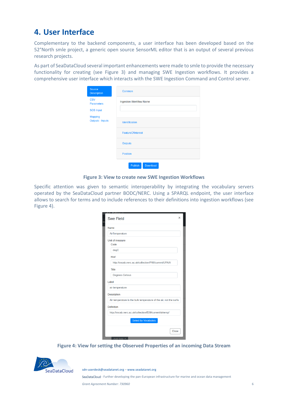#### <span id="page-5-0"></span>**4. User Interface**

Complementary to the backend components, a user interface has been developed based on the 52°North smle project, a generic open source SensorML editor that is an output of several previous research projects.

As part of SeaDataCloud several important enhancements were made to smle to provide the necessary functionality for creating (see [Figure 3\)](#page-5-1) and managing SWE Ingestion workflows. It provides a comprehensive user interface which interacts with the SWE Ingestion Command and Control server.

| Source<br><b>Description</b>                        | Common                            |
|-----------------------------------------------------|-----------------------------------|
| <b>CSV</b><br><b>Parameters</b><br><b>SOS Input</b> | <b>Ingestion Workflow Name</b>    |
| <b>Mapping</b><br><b>Outputs - Inputs</b>           | <b>Identification</b>             |
|                                                     | <b>FeatureOfInterest</b>          |
|                                                     | <b>Outputs</b>                    |
|                                                     | <b>Position</b>                   |
|                                                     | <b>Download</b><br><b>Publish</b> |

**Figure 3: View to create new SWE Ingestion Workflows**

<span id="page-5-1"></span>Specific attention was given to semantic interoperability by integrating the vocabulary servers operated by the SeaDataCloud partner BODC/NERC. Using a SPARQL endpoint, the user interface allows to search for terms and to include references to their definitions into ingestion workflows (see [Figure 4\)](#page-5-2).

| S)<br>Ir | <b>Swe Field</b>                                                  | $\times$ |
|----------|-------------------------------------------------------------------|----------|
|          | Name                                                              |          |
|          | AirTemperature                                                    |          |
|          | Unit of measure<br>Code                                           |          |
|          | degC                                                              |          |
|          | Href                                                              |          |
|          | http://vocab.nerc.ac.uk/collection/P06/current/UPAA/              |          |
|          | Title                                                             |          |
|          | <b>Degrees Celsius</b>                                            |          |
|          | Label                                                             |          |
|          | air temperature                                                   |          |
|          | <b>Description</b>                                                |          |
|          | Air temperature is the bulk temperature of the air, not the surfa |          |
|          | <b>Definition</b>                                                 |          |
|          | http://vocab.nerc.ac.uk/collection/B39/current/airtemp/           |          |
|          | <b>Select by Vocabulary</b>                                       |          |
|          | Close                                                             |          |

<span id="page-5-2"></span>**Figure 4: View for setting the Observed Properties of an incoming Data Stream**



[sdn-userdesk@seadatanet.org](mailto:sdn-userdesk@seadatanet.org) – [www.seadatanet.org](http://www.seadatanet.org/)

SeaDataCloud - Further developing the pan-European infrastructure for marine and ocean data management

*Grant Agreement Number: 730960* 6